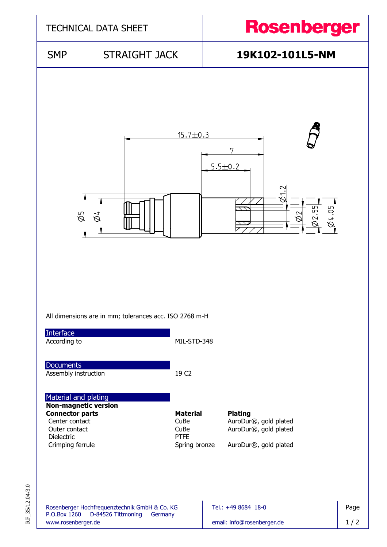